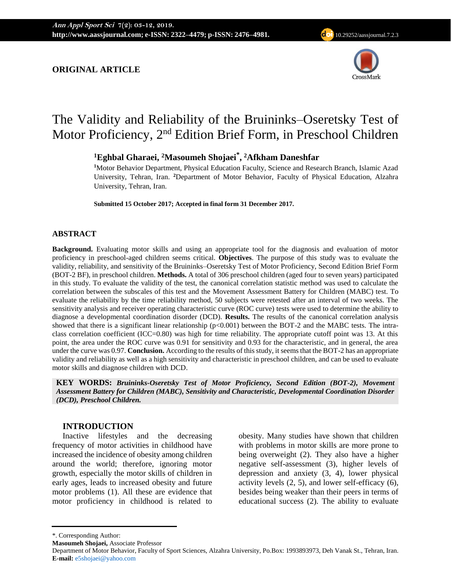# **ORIGINAL ARTICLE**



# The Validity and Reliability of the Bruininks–Oseretsky Test of Motor Proficiency, 2<sup>nd</sup> Edition Brief Form, in Preschool Children

**<sup>1</sup>Eghbal Gharaei, <sup>2</sup>Masoumeh Shojaei\* , <sup>2</sup>Afkham Daneshfar**

**<sup>1</sup>**Motor Behavior Department, Physical Education Faculty, Science and Research Branch, Islamic Azad University, Tehran, Iran. **<sup>2</sup>**Department of Motor Behavior, Faculty of Physical Education, Alzahra University, Tehran, Iran.

**Submitted 15 October 2017; Accepted in final form 31 December 2017.**

# **ABSTRACT**

**Background.** Evaluating motor skills and using an appropriate tool for the diagnosis and evaluation of motor proficiency in preschool-aged children seems critical. **Objectives**. The purpose of this study was to evaluate the validity, reliability, and sensitivity of the Bruininks–Oseretsky Test of Motor Proficiency, Second Edition Brief Form (BOT-2 BF), in preschool children. **Methods.** A total of 306 preschool children (aged four to seven years) participated in this study. To evaluate the validity of the test, the canonical correlation statistic method was used to calculate the correlation between the subscales of this test and the Movement Assessment Battery for Children (MABC) test. To evaluate the reliability by the time reliability method, 50 subjects were retested after an interval of two weeks. The sensitivity analysis and receiver operating characteristic curve (ROC curve) tests were used to determine the ability to diagnose a developmental coordination disorder (DCD). **Results.** The results of the canonical correlation analysis showed that there is a significant linear relationship ( $p<0.001$ ) between the BOT-2 and the MABC tests. The intraclass correlation coefficient (ICC=0.80) was high for time reliability. The appropriate cutoff point was 13. At this point, the area under the ROC curve was 0.91 for sensitivity and 0.93 for the characteristic, and in general, the area under the curve was 0.97. **Conclusion.** According to the results of this study, it seems that the BOT-2 has an appropriate validity and reliability as well as a high sensitivity and characteristic in preschool children, and can be used to evaluate motor skills and diagnose children with DCD.

**KEY WORDS:** *Bruininks-Oseretsky Test of Motor Proficiency, Second Edition (BOT-2), Movement Assessment Battery for Children (MABC), Sensitivity and Characteristic, Developmental Coordination Disorder (DCD), Preschool Children.*

## **INTRODUCTION**

Inactive lifestyles and the decreasing frequency of motor activities in childhood have increased the incidence of obesity among children around the world; therefore, ignoring motor growth, especially the motor skills of children in early ages, leads to increased obesity and future motor problems (1). All these are evidence that motor proficiency in childhood is related to

obesity. Many studies have shown that children with problems in motor skills are more prone to being overweight (2). They also have a higher negative self-assessment (3), higher levels of depression and anxiety (3, 4), lower physical activity levels (2, 5), and lower self-efficacy (6), besides being weaker than their peers in terms of educational success (2). The ability to evaluate

<sup>\*.</sup> Corresponding Author:

**Masoumeh Shojaei,** Associate Professor

Department of Motor Behavior, Faculty of Sport Sciences, Alzahra University, Po.Box: 1993893973, Deh Vanak St., Tehran, Iran. **E-mail:** [e5shojaei@yahoo.com](mailto:e5shojaei@yahoo.com)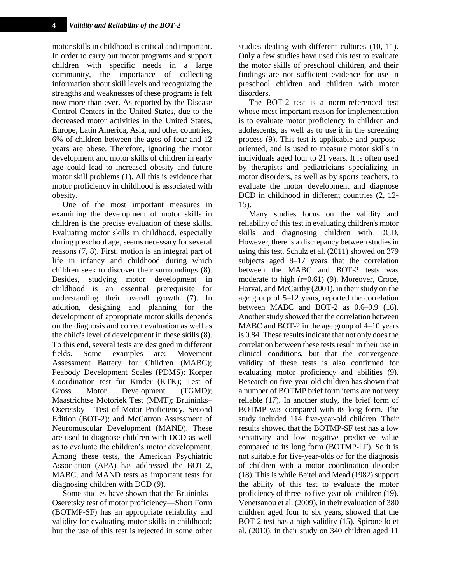motor skills in childhood is critical and important. In order to carry out motor programs and support children with specific needs in a large community, the importance of collecting information about skill levels and recognizing the strengths and weaknesses of these programs is felt now more than ever. As reported by the Disease Control Centers in the United States, due to the decreased motor activities in the United States, Europe, Latin America, Asia, and other countries, 6% of children between the ages of four and 12 years are obese. Therefore, ignoring the motor development and motor skills of children in early age could lead to increased obesity and future motor skill problems (1). All this is evidence that motor proficiency in childhood is associated with obesity.

One of the most important measures in examining the development of motor skills in children is the precise evaluation of these skills. Evaluating motor skills in childhood, especially during preschool age, seems necessary for several reasons (7, 8). First, motion is an integral part of life in infancy and childhood during which children seek to discover their surroundings (8). Besides, studying motor development in childhood is an essential prerequisite for understanding their overall growth (7). In addition, designing and planning for the development of appropriate motor skills depends on the diagnosis and correct evaluation as well as the child's level of development in these skills (8). To this end, several tests are designed in different fields. Some examples are: Movement Assessment Battery for Children (MABC); Peabody Development Scales (PDMS); Korper Coordination test fur Kinder (KTK); Test of Gross Motor Development (TGMD); Maastrichtse Motoriek Test (MMT); Bruininks– Oseretsky Test of Motor Proficiency, Second Edition (BOT-2); and McCarron Assessment of Neuromuscular Development (MAND). These are used to diagnose children with DCD as well as to evaluate the children's motor development. Among these tests, the American Psychiatric Association (APA) has addressed the BOT-2, MABC, and MAND tests as important tests for diagnosing children with DCD (9).

Some studies have shown that the Bruininks– Oseretsky test of motor proficiency—Short Form (BOTMP-SF) has an appropriate reliability and validity for evaluating motor skills in childhood; but the use of this test is rejected in some other

studies dealing with different cultures (10, 11). Only a few studies have used this test to evaluate the motor skills of preschool children, and their findings are not sufficient evidence for use in preschool children and children with motor disorders.

The BOT-2 test is a norm-referenced test whose most important reason for implementation is to evaluate motor proficiency in children and adolescents, as well as to use it in the screening process (9). This test is applicable and purposeoriented, and is used to measure motor skills in individuals aged four to 21 years. It is often used by therapists and pediatricians specializing in motor disorders, as well as by sports teachers, to evaluate the motor development and diagnose DCD in childhood in different countries (2, 12- 15).

Many studies focus on the validity and reliability of this test in evaluating children's motor skills and diagnosing children with DCD. However, there is a discrepancy between studies in using this test. Schulz et al. (2011) showed on 379 subjects aged 8–17 years that the correlation between the MABC and BOT-2 tests was moderate to high (r=0.61) (9). Moreover, Croce, Horvat, and McCarthy (2001), in their study on the age group of 5–12 years, reported the correlation between MABC and BOT-2 as 0.6–0.9 (16). Another study showed that the correlation between MABC and BOT-2 in the age group of 4–10 years is 0.84. These results indicate that not only does the correlation between these tests result in their use in clinical conditions, but that the convergence validity of these tests is also confirmed for evaluating motor proficiency and abilities (9). Research on five-year-old children has shown that a number of BOTMP brief form items are not very reliable (17). In another study, the brief form of BOTMP was compared with its long form. The study included 114 five-year-old children. Their results showed that the BOTMP-SF test has a low sensitivity and low negative predictive value compared to its long form (BOTMP-LF). So it is not suitable for five-year-olds or for the diagnosis of children with a motor coordination disorder (18). This is while Beitel and Mead (1982) support the ability of this test to evaluate the motor proficiency of three- to five-year-old children (19). Venetsanou et al. (2009), in their evaluation of 380 children aged four to six years, showed that the BOT-2 test has a high validity (15). Spironello et al. (2010), in their study on 340 children aged 11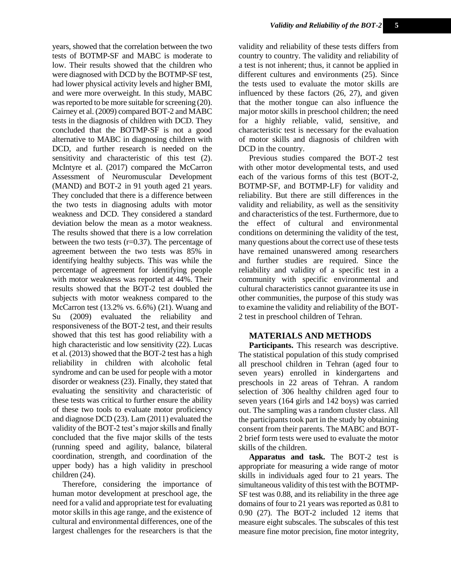years, showed that the correlation between the two tests of BOTMP-SF and MABC is moderate to low. Their results showed that the children who were diagnosed with DCD by the BOTMP-SF test, had lower physical activity levels and higher BMI, and were more overweight. In this study, MABC was reported to be more suitable for screening (20). Cairney et al. (2009) compared BOT-2 and MABC tests in the diagnosis of children with DCD. They concluded that the BOTMP-SF is not a good alternative to MABC in diagnosing children with DCD, and further research is needed on the sensitivity and characteristic of this test (2). McIntyre et al. (2017) compared the McCarron Assessment of Neuromuscular Development (MAND) and BOT-2 in 91 youth aged 21 years. They concluded that there is a difference between the two tests in diagnosing adults with motor weakness and DCD. They considered a standard deviation below the mean as a motor weakness. The results showed that there is a low correlation between the two tests  $(r=0.37)$ . The percentage of agreement between the two tests was 85% in identifying healthy subjects. This was while the percentage of agreement for identifying people with motor weakness was reported at 44%. Their results showed that the BOT-2 test doubled the subjects with motor weakness compared to the McCarron test (13.2% vs. 6.6%) (21). Wuang and Su (2009) evaluated the reliability and responsiveness of the BOT-2 test, and their results showed that this test has good reliability with a high characteristic and low sensitivity (22). Lucas et al. (2013) showed that the BOT-2 test has a high reliability in children with alcoholic fetal syndrome and can be used for people with a motor disorder or weakness (23). Finally, they stated that evaluating the sensitivity and characteristic of these tests was critical to further ensure the ability of these two tools to evaluate motor proficiency and diagnose DCD (23). Lam (2011) evaluated the validity of the BOT-2 test's major skills and finally concluded that the five major skills of the tests (running speed and agility, balance, bilateral coordination, strength, and coordination of the upper body) has a high validity in preschool children (24).

Therefore, considering the importance of human motor development at preschool age, the need for a valid and appropriate test for evaluating motor skills in this age range, and the existence of cultural and environmental differences, one of the largest challenges for the researchers is that the

validity and reliability of these tests differs from country to country. The validity and reliability of a test is not inherent; thus, it cannot be applied in different cultures and environments (25). Since the tests used to evaluate the motor skills are influenced by these factors (26, 27), and given that the mother tongue can also influence the major motor skills in preschool children; the need for a highly reliable, valid, sensitive, and characteristic test is necessary for the evaluation of motor skills and diagnosis of children with DCD in the country.

Previous studies compared the BOT-2 test with other motor developmental tests, and used each of the various forms of this test (BOT-2, BOTMP-SF, and BOTMP-LF) for validity and reliability. But there are still differences in the validity and reliability, as well as the sensitivity and characteristics of the test. Furthermore, due to the effect of cultural and environmental conditions on determining the validity of the test, many questions about the correct use of these tests have remained unanswered among researchers and further studies are required. Since the reliability and validity of a specific test in a community with specific environmental and cultural characteristics cannot guarantee its use in other communities, the purpose of this study was to examine the validity and reliability of the BOT-2 test in preschool children of Tehran.

## **MATERIALS AND METHODS**

Participants. This research was descriptive. The statistical population of this study comprised all preschool children in Tehran (aged four to seven years) enrolled in kindergartens and preschools in 22 areas of Tehran. A random selection of 306 healthy children aged four to seven years (164 girls and 142 boys) was carried out. The sampling was a random cluster class. All the participants took part in the study by obtaining consent from their parents. The MABC and BOT-2 brief form tests were used to evaluate the motor skills of the children.

**Apparatus and task.** The BOT-2 test is appropriate for measuring a wide range of motor skills in individuals aged four to 21 years. The simultaneous validity of this test with the BOTMP-SF test was 0.88, and its reliability in the three age domains of four to 21 years was reported as 0.81 to 0.90 (27). The BOT-2 included 12 items that measure eight subscales. The subscales of this test measure fine motor precision, fine motor integrity,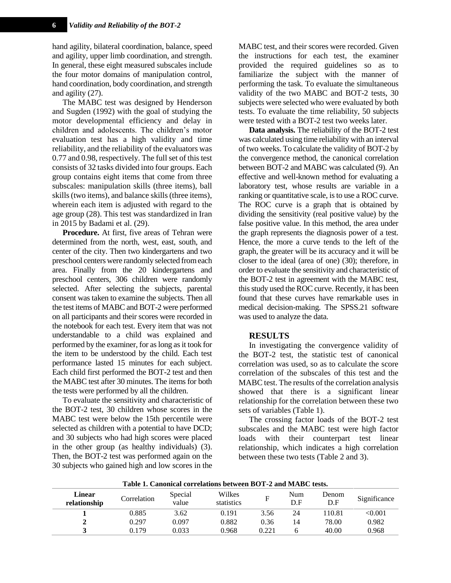hand agility, bilateral coordination, balance, speed and agility, upper limb coordination, and strength. In general, these eight measured subscales include the four motor domains of manipulation control, hand coordination, body coordination, and strength and agility (27).

The MABC test was designed by Henderson and Sugden (1992) with the goal of studying the motor developmental efficiency and delay in children and adolescents. The children's motor evaluation test has a high validity and time reliability, and the reliability of the evaluators was 0.77 and 0.98, respectively. The full set of this test consists of 32 tasks divided into four groups. Each group contains eight items that come from three subscales: manipulation skills (three items), ball skills (two items), and balance skills (three items), wherein each item is adjusted with regard to the age group (28). This test was standardized in Iran in 2015 by Badami et al. (29).

**Procedure.** At first, five areas of Tehran were determined from the north, west, east, south, and center of the city. Then two kindergartens and two preschool centers were randomly selected from each area. Finally from the 20 kindergartens and preschool centers, 306 children were randomly selected. After selecting the subjects, parental consent was taken to examine the subjects. Then all the test items of MABC and BOT-2 were performed on all participants and their scores were recorded in the notebook for each test. Every item that was not understandable to a child was explained and performed by the examiner, for as long as it took for the item to be understood by the child. Each test performance lasted 15 minutes for each subject. Each child first performed the BOT-2 test and then the MABC test after 30 minutes. The items for both the tests were performed by all the children.

To evaluate the sensitivity and characteristic of the BOT-2 test, 30 children whose scores in the MABC test were below the 15th percentile were selected as children with a potential to have DCD; and 30 subjects who had high scores were placed in the other group (as healthy individuals) (3). Then, the BOT-2 test was performed again on the 30 subjects who gained high and low scores in the

MABC test, and their scores were recorded. Given the instructions for each test, the examiner provided the required guidelines so as to familiarize the subject with the manner of performing the task. To evaluate the simultaneous validity of the two MABC and BOT-2 tests, 30 subjects were selected who were evaluated by both tests. To evaluate the time reliability, 50 subjects were tested with a BOT-2 test two weeks later.

**Data analysis.** The reliability of the BOT-2 test was calculated using time reliability with an interval of two weeks. To calculate the validity of BOT-2 by the convergence method, the canonical correlation between BOT-2 and MABC was calculated (9). An effective and well-known method for evaluating a laboratory test, whose results are variable in a ranking or quantitative scale, is to use a ROC curve. The ROC curve is a graph that is obtained by dividing the sensitivity (real positive value) by the false positive value. In this method, the area under the graph represents the diagnosis power of a test. Hence, the more a curve tends to the left of the graph, the greater will be its accuracy and it will be closer to the ideal (area of one) (30); therefore, in order to evaluate the sensitivity and characteristic of the BOT-2 test in agreement with the MABC test, this study used the ROC curve. Recently, it has been found that these curves have remarkable uses in medical decision-making. The SPSS.21 software was used to analyze the data.

#### **RESULTS**

In investigating the convergence validity of the BOT-2 test, the statistic test of canonical correlation was used, so as to calculate the score correlation of the subscales of this test and the MABC test. The results of the correlation analysis showed that there is a significant linear relationship for the correlation between these two sets of variables (Table 1).

The crossing factor loads of the BOT-2 test subscales and the MABC test were high factor loads with their counterpart test linear relationship, which indicates a high correlation between these two tests (Table 2 and 3).

| тари п сапошеа соггенионо регисен род в ана интро коро |             |                  |                      |       |            |              |              |  |
|--------------------------------------------------------|-------------|------------------|----------------------|-------|------------|--------------|--------------|--|
| Linear<br>relationship                                 | Correlation | Special<br>value | Wilkes<br>statistics | F     | Num<br>D.F | Denom<br>D.F | Significance |  |
|                                                        | 0.885       | 3.62             | 0.191                | 3.56  | 24         | 110.81       | <0.001       |  |
|                                                        | 0.297       | 0.097            | 0.882                | 0.36  | 14         | 78.00        | 0.982        |  |
|                                                        | 0.179       | 0.033            | 0.968                | 0.221 |            | 40.00        | 0.968        |  |
|                                                        |             |                  |                      |       |            |              |              |  |

**Table 1. Canonical correlations between BOT-2 and MABC tests.**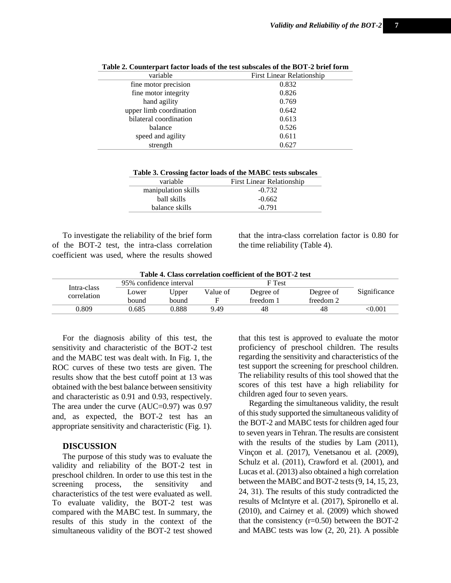| variable                | <b>First Linear Relationship</b> |  |  |
|-------------------------|----------------------------------|--|--|
| fine motor precision    | 0.832                            |  |  |
| fine motor integrity    | 0.826                            |  |  |
| hand agility            | 0.769                            |  |  |
| upper limb coordination | 0.642                            |  |  |
| bilateral coordination  | 0.613                            |  |  |
| balance                 | 0.526                            |  |  |
| speed and agility       | 0.611                            |  |  |
| strength                | 0.627                            |  |  |

**Table 3. Crossing factor loads of the MABC tests subscales**

| variable            | First Linear Relationship |  |  |  |
|---------------------|---------------------------|--|--|--|
| manipulation skills | $-0.732$                  |  |  |  |
| ball skills         | $-0.662$                  |  |  |  |
| balance skills      | $-0.791$                  |  |  |  |

To investigate the reliability of the brief form of the BOT-2 test, the intra-class correlation coefficient was used, where the results showed

that the intra-class correlation factor is 0.80 for the time reliability (Table 4).

| Table 4. Class correlation coefficient of the BOT-2 test |                   |          |           |           |              |  |  |  |  |  |
|----------------------------------------------------------|-------------------|----------|-----------|-----------|--------------|--|--|--|--|--|
| 95% confidence interval                                  |                   |          |           |           |              |  |  |  |  |  |
| Lower                                                    | J <sub>pper</sub> | Value of | Degree of | Degree of | Significance |  |  |  |  |  |
| <b>bound</b>                                             | bound             |          | freedom 1 | freedom 2 |              |  |  |  |  |  |
| 0.685                                                    | 0.888             | 9.49     | 48        | 48        | <0.001       |  |  |  |  |  |
|                                                          |                   |          |           | F Test    |              |  |  |  |  |  |

For the diagnosis ability of this test, the sensitivity and characteristic of the BOT-2 test and the MABC test was dealt with. In Fig. 1, the ROC curves of these two tests are given. The results show that the best cutoff point at 13 was obtained with the best balance between sensitivity and characteristic as 0.91 and 0.93, respectively. The area under the curve (AUC=0.97) was 0.97 and, as expected, the BOT-2 test has an appropriate sensitivity and characteristic (Fig. 1).

## **DISCUSSION**

The purpose of this study was to evaluate the validity and reliability of the BOT-2 test in preschool children. In order to use this test in the screening process, the sensitivity and characteristics of the test were evaluated as well. To evaluate validity, the BOT-2 test was compared with the MABC test. In summary, the results of this study in the context of the simultaneous validity of the BOT-2 test showed that this test is approved to evaluate the motor proficiency of preschool children. The results regarding the sensitivity and characteristics of the test support the screening for preschool children. The reliability results of this tool showed that the scores of this test have a high reliability for children aged four to seven years.

Regarding the simultaneous validity, the result of this study supported the simultaneous validity of the BOT-2 and MABC tests for children aged four to seven years in Tehran. The results are consistent with the results of the studies by Lam (2011), Vinçon et al. (2017), Venetsanou et al. (2009), Schulz et al. (2011), Crawford et al. (2001), and Lucas et al. (2013) also obtained a high correlation between the MABC and BOT-2 tests (9, 14, 15, 23, 24, 31). The results of this study contradicted the results of McIntyre et al. (2017), Spironello et al. (2010), and Cairney et al. (2009) which showed that the consistency  $(r=0.50)$  between the BOT-2 and MABC tests was low (2, 20, 21). A possible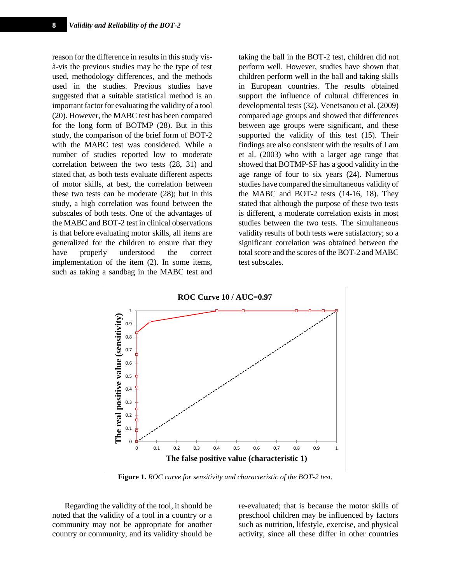reason for the difference in results in this study visà-vis the previous studies may be the type of test used, methodology differences, and the methods used in the studies. Previous studies have suggested that a suitable statistical method is an important factor for evaluating the validity of a tool (20). However, the MABC test has been compared for the long form of BOTMP (28). But in this study, the comparison of the brief form of BOT-2 with the MABC test was considered. While a number of studies reported low to moderate correlation between the two tests (28, 31) and stated that, as both tests evaluate different aspects of motor skills, at best, the correlation between these two tests can be moderate (28); but in this study, a high correlation was found between the subscales of both tests. One of the advantages of the MABC and BOT-2 test in clinical observations is that before evaluating motor skills, all items are generalized for the children to ensure that they have properly understood the correct implementation of the item (2). In some items, such as taking a sandbag in the MABC test and taking the ball in the BOT-2 test, children did not perform well. However, studies have shown that children perform well in the ball and taking skills in European countries. The results obtained support the influence of cultural differences in developmental tests (32). Venetsanou et al. (2009) compared age groups and showed that differences between age groups were significant, and these supported the validity of this test (15). Their findings are also consistent with the results of Lam et al. (2003) who with a larger age range that showed that BOTMP-SF has a good validity in the age range of four to six years (24). Numerous studies have compared the simultaneous validity of the MABC and BOT-2 tests (14-16, 18). They stated that although the purpose of these two tests is different, a moderate correlation exists in most studies between the two tests. The simultaneous validity results of both tests were satisfactory; so a significant correlation was obtained between the total score and the scores of the BOT-2 and MABC test subscales.



**Figure 1.** *ROC curve for sensitivity and characteristic of the BOT-2 test.*

Regarding the validity of the tool, it should be noted that the validity of a tool in a country or a community may not be appropriate for another country or community, and its validity should be re-evaluated; that is because the motor skills of preschool children may be influenced by factors such as nutrition, lifestyle, exercise, and physical activity, since all these differ in other countries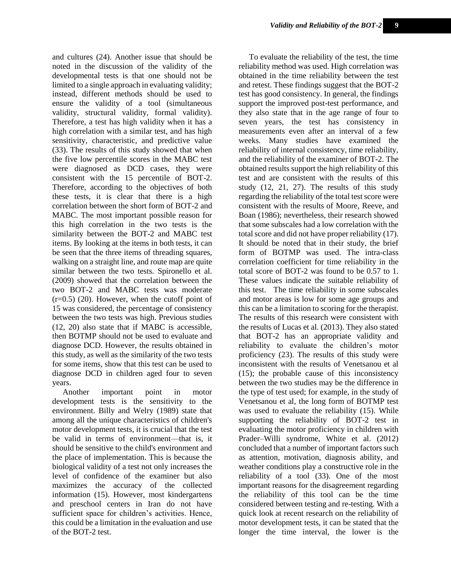and cultures (24). Another issue that should be noted in the discussion of the validity of the developmental tests is that one should not be limited to a single approach in evaluating validity; instead, different methods should be used to ensure the validity of a tool (simultaneous validity, structural validity, formal validity). Therefore, a test has high validity when it has a high correlation with a similar test, and has high sensitivity, characteristic, and predictive value (33). The results of this study showed that when the five low percentile scores in the MABC test were diagnosed as DCD cases, they were consistent with the 15 percentile of BOT-2. Therefore, according to the objectives of both these tests, it is clear that there is a high correlation between the short form of BOT-2 and MABC. The most important possible reason for this high correlation in the two tests is the similarity between the BOT-2 and MABC test items. By looking at the items in both tests, it can be seen that the three items of threading squares, walking on a straight line, and route map are quite similar between the two tests. Spironello et al. (2009) showed that the correlation between the two BOT-2 and MABC tests was moderate  $(r=0.5)$  (20). However, when the cutoff point of 15 was considered, the percentage of consistency between the two tests was high. Previous studies (12, 20) also state that if MABC is accessible, then BOTMP should not be used to evaluate and diagnose DCD. However, the results obtained in this study, as well as the similarity of the two tests for some items, show that this test can be used to diagnose DCD in children aged four to seven years.

Another important point in motor development tests is the sensitivity to the environment. Billy and Welry (1989) state that among all the unique characteristics of children's motor development tests, it is crucial that the test be valid in terms of environment—that is, it should be sensitive to the child's environment and the place of implementation. This is because the biological validity of a test not only increases the level of confidence of the examiner but also maximizes the accuracy of the collected information (15). However, most kindergartens and preschool centers in Iran do not have sufficient space for children's activities. Hence, this could be a limitation in the evaluation and use of the BOT-2 test.

To evaluate the reliability of the test, the time reliability method was used. High correlation was obtained in the time reliability between the test and retest. These findings suggest that the BOT-2 test has good consistency. In general, the findings support the improved post-test performance, and they also state that in the age range of four to seven years, the test has consistency in measurements even after an interval of a few weeks. Many studies have examined the reliability of internal consistency, time reliability, and the reliability of the examiner of BOT-2. The obtained results support the high reliability of this test and are consistent with the results of this study (12, 21, 27). The results of this study regarding the reliability of the total test score were consistent with the results of [Moore,](http://journals.sagepub.com/author/Moore%2C+Jane+B) [Reeve,](http://journals.sagepub.com/author/Reeve%2C+T+Gilmour) [and](http://journals.sagepub.com/author/Boan%2C+Teresa)  [Boan](http://journals.sagepub.com/author/Boan%2C+Teresa) (1986); nevertheless, their research showed that some subscales had a low correlation with the total score and did not have proper reliability (17). It should be noted that in their study, the brief form of BOTMP was used. The intra-class correlation coefficient for time reliability in the total score of BOT-2 was found to be 0.57 to 1. These values indicate the suitable reliability of this test. The time reliability in some subscales and motor areas is low for some age groups and this can be a limitation to scoring for the therapist. The results of this research were consistent with the results of Lucas et al. (2013). They also stated that BOT-2 has an appropriate validity and reliability to evaluate the children's motor proficiency (23). The results of this study were inconsistent with the results of Venetsanou et al (15); the probable cause of this inconsistency between the two studies may be the difference in the type of test used; for example, in the study of Venetsanou et al, the long form of BOTMP test was used to evaluate the reliability (15). While supporting the reliability of BOT-2 test in evaluating the motor proficiency in children with Prader–Willi syndrome, White et al. (2012) concluded that a number of important factors such as attention, motivation, diagnosis ability, and weather conditions play a constructive role in the reliability of a tool (33). One of the most important reasons for the disagreement regarding the reliability of this tool can be the time considered between testing and re-testing. With a quick look at recent research on the reliability of motor development tests, it can be stated that the longer the time interval, the lower is the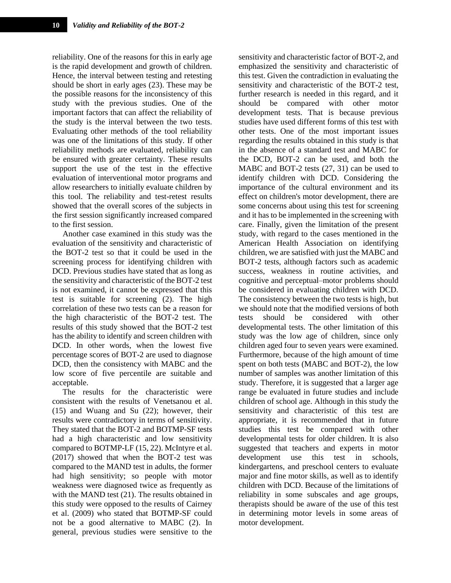reliability. One of the reasons for this in early age is the rapid development and growth of children. Hence, the interval between testing and retesting should be short in early ages (23). These may be the possible reasons for the inconsistency of this study with the previous studies. One of the important factors that can affect the reliability of the study is the interval between the two tests. Evaluating other methods of the tool reliability was one of the limitations of this study. If other reliability methods are evaluated, reliability can be ensured with greater certainty. These results support the use of the test in the effective evaluation of interventional motor programs and allow researchers to initially evaluate children by this tool. The reliability and test-retest results showed that the overall scores of the subjects in the first session significantly increased compared to the first session.

Another case examined in this study was the evaluation of the sensitivity and characteristic of the BOT-2 test so that it could be used in the screening process for identifying children with DCD. Previous studies have stated that as long as the sensitivity and characteristic of the BOT-2 test is not examined, it cannot be expressed that this test is suitable for screening (2). The high correlation of these two tests can be a reason for the high characteristic of the BOT-2 test. The results of this study showed that the BOT-2 test has the ability to identify and screen children with DCD. In other words, when the lowest five percentage scores of BOT-2 are used to diagnose DCD, then the consistency with MABC and the low score of five percentile are suitable and acceptable.

The results for the characteristic were consistent with the results of Venetsanou et al. (15) and Wuang and Su (22); however, their results were contradictory in terms of sensitivity. They stated that the BOT-2 and BOTMP-SF tests had a high characteristic and low sensitivity compared to BOTMP-LF (15, 22). McIntyre et al. (2017) showed that when the BOT-2 test was compared to the MAND test in adults, the former had high sensitivity; so people with motor weakness were diagnosed twice as frequently as with the MAND test (21). The results obtained in this study were opposed to the results of Cairney et al. (2009) who stated that BOTMP-SF could not be a good alternative to MABC (2). In general, previous studies were sensitive to the

sensitivity and characteristic factor of BOT-2, and emphasized the sensitivity and characteristic of this test. Given the contradiction in evaluating the sensitivity and characteristic of the BOT-2 test, further research is needed in this regard, and it should be compared with other motor development tests. That is because previous studies have used different forms of this test with other tests. One of the most important issues regarding the results obtained in this study is that in the absence of a standard test and MABC for the DCD, BOT-2 can be used, and both the MABC and BOT-2 tests (27, 31) can be used to identify children with DCD. Considering the importance of the cultural environment and its effect on children's motor development, there are some concerns about using this test for screening and it has to be implemented in the screening with care. Finally, given the limitation of the present study, with regard to the cases mentioned in the American Health Association on identifying children, we are satisfied with just the MABC and BOT-2 tests, although factors such as academic success, weakness in routine activities, and cognitive and perceptual–motor problems should be considered in evaluating children with DCD. The consistency between the two tests is high, but we should note that the modified versions of both tests should be considered with other developmental tests. The other limitation of this study was the low age of children, since only children aged four to seven years were examined. Furthermore, because of the high amount of time spent on both tests (MABC and BOT-2), the low number of samples was another limitation of this study. Therefore, it is suggested that a larger age range be evaluated in future studies and include children of school age. Although in this study the sensitivity and characteristic of this test are appropriate, it is recommended that in future studies this test be compared with other developmental tests for older children. It is also suggested that teachers and experts in motor development use this test in schools, kindergartens, and preschool centers to evaluate major and fine motor skills, as well as to identify children with DCD. Because of the limitations of reliability in some subscales and age groups, therapists should be aware of the use of this test in determining motor levels in some areas of motor development.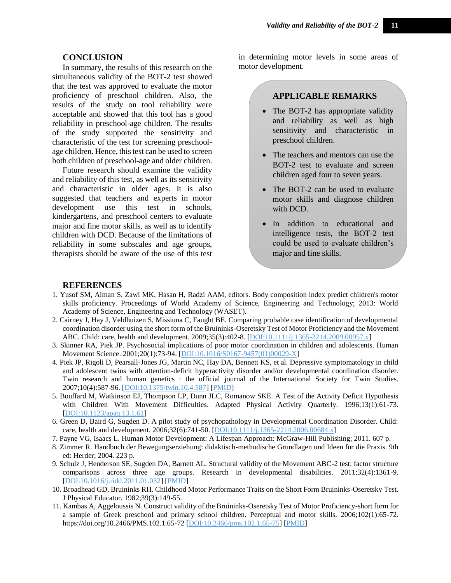## **CONCLUSION**

In summary, the results of this research on the simultaneous validity of the BOT-2 test showed that the test was approved to evaluate the motor proficiency of preschool children. Also, the results of the study on tool reliability were acceptable and showed that this tool has a good reliability in preschool-age children. The results of the study supported the sensitivity and characteristic of the test for screening preschoolage children. Hence, this test can be used to screen both children of preschool-age and older children.

Future research should examine the validity and reliability of this test, as well as its sensitivity and characteristic in older ages. It is also suggested that teachers and experts in motor development use this test in schools, kindergartens, and preschool centers to evaluate major and fine motor skills, as well as to identify children with DCD. Because of the limitations of reliability in some subscales and age groups, therapists should be aware of the use of this test

in determining motor levels in some areas of motor development.

# **APPLICABLE REMARKS**

- The BOT-2 has appropriate validity and reliability as well as high sensitivity and characteristic in preschool children.
- The teachers and mentors can use the BOT-2 test to evaluate and screen children aged four to seven years.
- The BOT-2 can be used to evaluate motor skills and diagnose children with DCD.
- In addition to educational and intelligence tests, the BOT-2 test could be used to evaluate children's major and fine skills.

# **REFERENCES**

- 1. Yusof SM, Aiman S, Zawi MK, Hasan H, Radzi AAM, editors. Body composition index predict children's motor skills proficiency. Proceedings of World Academy of Science, Engineering and Technology; 2013: World Academy of Science, Engineering and Technology (WASET).
- 2. Cairney J, Hay J, Veldhuizen S, Missiuna C, Faught BE. Comparing probable case identification of developmental coordination disorder using the short form of the Bruininks-Oseretsky Test of Motor Proficiency and the Movement ABC. Child: care, health and development. 2009;35(3):402-8. [\[DOI:10.1111/j.1365-2214.2009.00957.x\]](https://doi.org/10.1111/j.1365-2214.2009.00957.x)
- 3. Skinner RA, Piek JP. Psychosocial implications of poor motor coordination in children and adolescents. Human Movement Science. 2001;20(1):73-94. [\[DOI:10.1016/S0167-9457\(01\)00029-X\]](https://doi.org/10.1016/S0167-9457(01)00029-X)
- 4. Piek JP, Rigoli D, Pearsall-Jones JG, Martin NC, Hay DA, Bennett KS, et al. Depressive symptomatology in child and adolescent twins with attention-deficit hyperactivity disorder and/or developmental coordination disorder. Twin research and human genetics : the official journal of the International Society for Twin Studies. 2007;10(4):587-96. [\[DOI:10.1375/twin.10.4.587\]](https://doi.org/10.1375/twin.10.4.587) [\[PMID\]](https://www.ncbi.nlm.nih.gov/pubmed/17708700)
- 5. Bouffard M, Watkinson EJ, Thompson LP, Dunn JLC, Romanow SKE. A Test of the Activity Deficit Hypothesis with Children With Movement Difficulties. Adapted Physical Activity Quarterly. 1996;13(1):61-73. [\[DOI:10.1123/apaq.13.1.61\]](https://doi.org/10.1123/apaq.13.1.61)
- 6. Green D, Baird G, Sugden D. A pilot study of psychopathology in Developmental Coordination Disorder. Child: care, health and development. 2006;32(6):741-50. [\[DOI:10.1111/j.1365-2214.2006.00684.x\]](https://doi.org/10.1111/j.1365-2214.2006.00684.x)
- 7. Payne VG, Isaacs L. Human Motor Development: A Lifespan Approach: McGraw-Hill Publishing; 2011. 607 p.
- 8. Zimmer R. Handbuch der Bewegungserziehung: didaktisch-methodische Grundlagen und Ideen für die Praxis. 9th ed: Herder; 2004. 223 p.
- 9. Schulz J, Henderson SE, Sugden DA, Barnett AL. Structural validity of the Movement ABC-2 test: factor structure comparisons across three age groups. Research in developmental disabilities. 2011;32(4):1361-9. [\[DOI:10.1016/j.ridd.2011.01.032\]](https://doi.org/10.1016/j.ridd.2011.01.032) [\[PMID\]](https://www.ncbi.nlm.nih.gov/pubmed/21330102)
- 10. Broadhead GD, Bruininks RH. Childhood Motor Performance Traits on the Short Form Bruininks-Oseretsky Test. J Physical Educator. 1982;39(3):149-55.
- 11. Kambas A, Aggeloussis N. Construct validity of the Bruininks-Oseretsky Test of Motor Proficiency-short form for a sample of Greek preschool and primary school children. Perceptual and motor skills. 2006;102(1):65-72. https://doi.org/10.2466/PMS.102.1.65-72 [\[DOI:10.2466/pms.102.1.65-75\]](https://doi.org/10.2466/pms.102.1.65-75) [\[PMID\]](https://www.ncbi.nlm.nih.gov/pubmed/16671598)